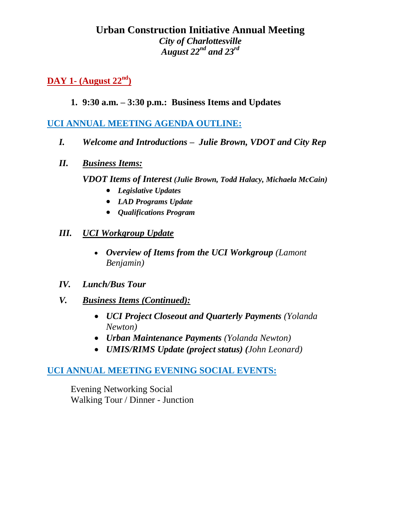# **Urban Construction Initiative Annual Meeting** *City of Charlottesville August 22nd and 23rd*

**DAY 1- (August 22nd)**

### **1. 9:30 a.m. – 3:30 p.m.: Business Items and Updates**

# **UCI ANNUAL MEETING AGENDA OUTLINE:**

- *I. Welcome and Introductions Julie Brown, VDOT and City Rep*
- *II. Business Items:*

*VDOT Items of Interest (Julie Brown, Todd Halacy, Michaela McCain)*

- *Legislative Updates*
- *LAD Programs Update*
- *Qualifications Program*

#### *III. UCI Workgroup Update*

- *Overview of Items from the UCI Workgroup (Lamont Benjamin)*
- *IV. Lunch/Bus Tour*
- *V. Business Items (Continued):* 
	- *UCI Project Closeout and Quarterly Payments (Yolanda Newton)*
	- *Urban Maintenance Payments (Yolanda Newton)*
	- *UMIS/RIMS Update (project status) (John Leonard)*

# **UCI ANNUAL MEETING EVENING SOCIAL EVENTS:**

Evening Networking Social Walking Tour / Dinner - Junction